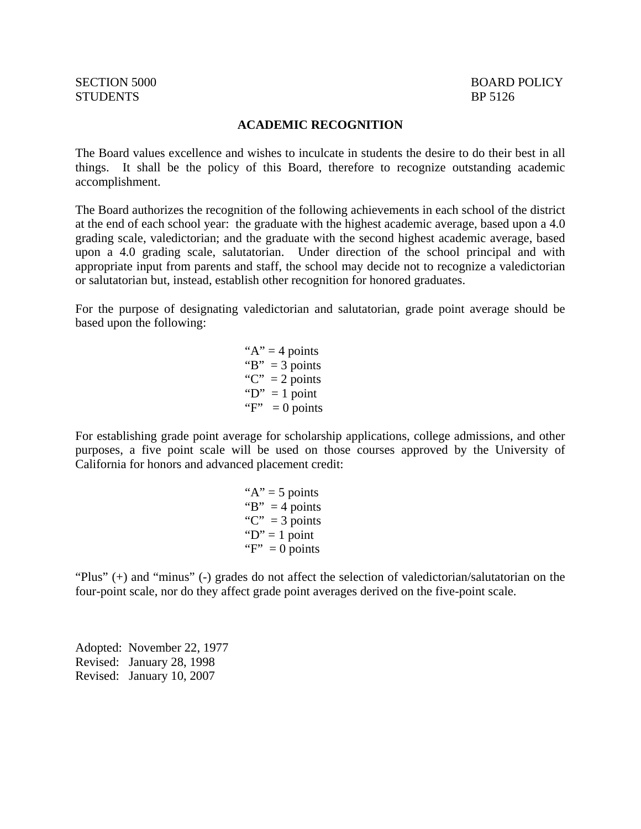## STUDENTS BP 5126

#### **ACADEMIC RECOGNITION**

The Board values excellence and wishes to inculcate in students the desire to do their best in all things. It shall be the policy of this Board, therefore to recognize outstanding academic accomplishment.

The Board authorizes the recognition of the following achievements in each school of the district at the end of each school year: the graduate with the highest academic average, based upon a 4.0 grading scale, valedictorian; and the graduate with the second highest academic average, based upon a 4.0 grading scale, salutatorian. Under direction of the school principal and with appropriate input from parents and staff, the school may decide not to recognize a valedictorian or salutatorian but, instead, establish other recognition for honored graduates.

For the purpose of designating valedictorian and salutatorian, grade point average should be based upon the following:

> " $A$ " = 4 points" "B"  $= 3$  points "C" =  $2$  points " $D$ " = 1 point " $F$ " = 0 points"

For establishing grade point average for scholarship applications, college admissions, and other purposes, a five point scale will be used on those courses approved by the University of California for honors and advanced placement credit:

> " $A$ " = 5 points" "B"  $=$  4 points "C" =  $3$  points " $D$ " = 1 point " $F$ " = 0 points"

"Plus" (+) and "minus" (-) grades do not affect the selection of valedictorian/salutatorian on the four-point scale, nor do they affect grade point averages derived on the five-point scale.

Adopted: November 22, 1977 Revised: January 28, 1998 Revised: January 10, 2007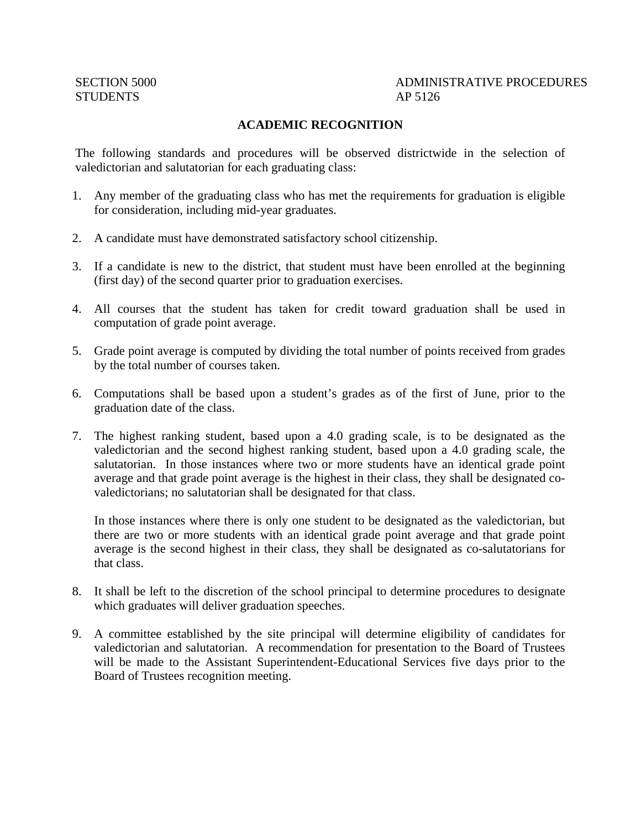## SECTION 5000 ADMINISTRATIVE PROCEDURES

### **ACADEMIC RECOGNITION**

The following standards and procedures will be observed districtwide in the selection of valedictorian and salutatorian for each graduating class:

- 1. Any member of the graduating class who has met the requirements for graduation is eligible for consideration, including mid-year graduates.
- 2. A candidate must have demonstrated satisfactory school citizenship.
- 3. If a candidate is new to the district, that student must have been enrolled at the beginning (first day) of the second quarter prior to graduation exercises.
- 4. All courses that the student has taken for credit toward graduation shall be used in computation of grade point average.
- 5. Grade point average is computed by dividing the total number of points received from grades by the total number of courses taken.
- 6. Computations shall be based upon a student's grades as of the first of June, prior to the graduation date of the class.
- 7. The highest ranking student, based upon a 4.0 grading scale, is to be designated as the valedictorian and the second highest ranking student, based upon a 4.0 grading scale, the salutatorian. In those instances where two or more students have an identical grade point average and that grade point average is the highest in their class, they shall be designated covaledictorians; no salutatorian shall be designated for that class.

 In those instances where there is only one student to be designated as the valedictorian, but there are two or more students with an identical grade point average and that grade point average is the second highest in their class, they shall be designated as co-salutatorians for that class.

- 8. It shall be left to the discretion of the school principal to determine procedures to designate which graduates will deliver graduation speeches.
- 9. A committee established by the site principal will determine eligibility of candidates for valedictorian and salutatorian. A recommendation for presentation to the Board of Trustees will be made to the Assistant Superintendent-Educational Services five days prior to the Board of Trustees recognition meeting.